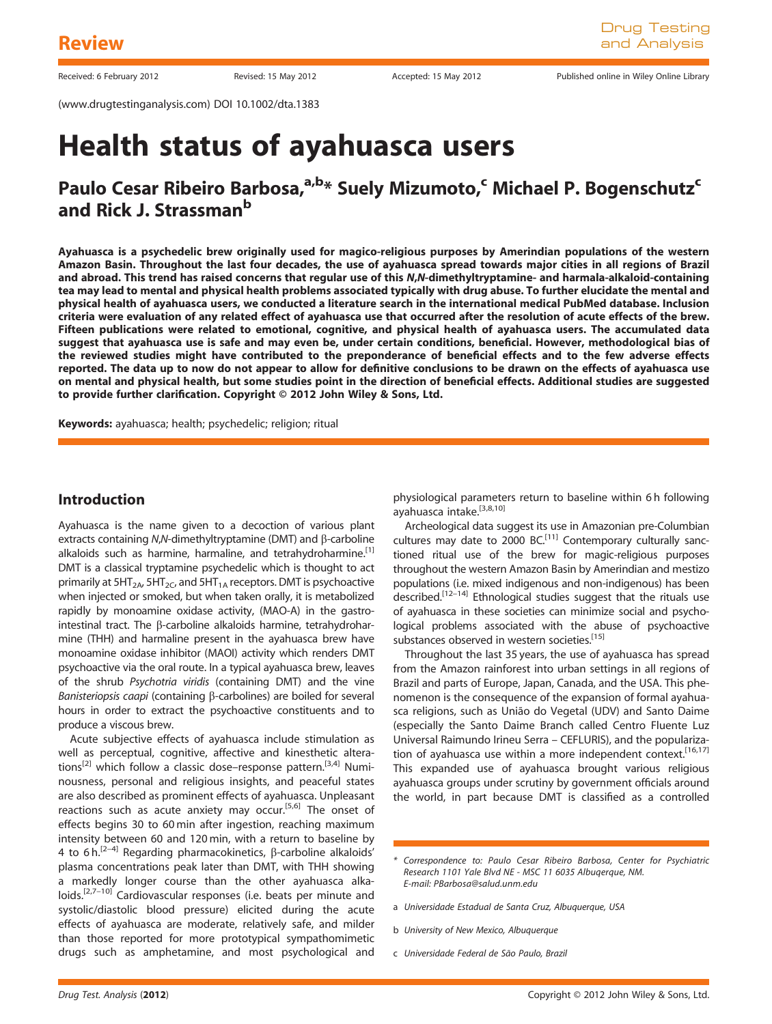(www.drugtestinganalysis.com) DOI 10.1002/dta.1383

Drug Testing and Analysis

# Health status of ayahuasca users

## Paulo Cesar Ribeiro Barbosa,<sup>a,b\*</sup> Suely Mizumoto,<sup>c</sup> Michael P. Bogenschutz<sup>c</sup> and Rick J. Strassman<sup>b</sup>

Ayahuasca is a psychedelic brew originally used for magico-religious purposes by Amerindian populations of the western Amazon Basin. Throughout the last four decades, the use of ayahuasca spread towards major cities in all regions of Brazil and abroad. This trend has raised concerns that regular use of this N,N-dimethyltryptamine- and harmala-alkaloid-containing tea may lead to mental and physical health problems associated typically with drug abuse. To further elucidate the mental and physical health of ayahuasca users, we conducted a literature search in the international medical PubMed database. Inclusion criteria were evaluation of any related effect of ayahuasca use that occurred after the resolution of acute effects of the brew. Fifteen publications were related to emotional, cognitive, and physical health of ayahuasca users. The accumulated data suggest that ayahuasca use is safe and may even be, under certain conditions, beneficial. However, methodological bias of the reviewed studies might have contributed to the preponderance of beneficial effects and to the few adverse effects reported. The data up to now do not appear to allow for definitive conclusions to be drawn on the effects of ayahuasca use on mental and physical health, but some studies point in the direction of beneficial effects. Additional studies are suggested to provide further clarification. Copyright © 2012 John Wiley & Sons, Ltd.

Keywords: ayahuasca; health; psychedelic; religion; ritual

## Introduction

Ayahuasca is the name given to a decoction of various plant extracts containing  $N_rN$ -dimethyltryptamine (DMT) and  $\beta$ -carboline alkaloids such as harmine, harmaline, and tetrahydroharmine.<sup>[1]</sup> DMT is a classical tryptamine psychedelic which is thought to act primarily at  $5HT_{2A}$ ,  $5HT_{2C}$ , and  $5HT_{1A}$  receptors. DMT is psychoactive when injected or smoked, but when taken orally, it is metabolized rapidly by monoamine oxidase activity, (MAO-A) in the gastrointestinal tract. The B-carboline alkaloids harmine, tetrahydroharmine (THH) and harmaline present in the ayahuasca brew have monoamine oxidase inhibitor (MAOI) activity which renders DMT psychoactive via the oral route. In a typical ayahuasca brew, leaves of the shrub Psychotria viridis (containing DMT) and the vine Banisteriopsis caapi (containing B-carbolines) are boiled for several hours in order to extract the psychoactive constituents and to produce a viscous brew.

Acute subjective effects of ayahuasca include stimulation as well as perceptual, cognitive, affective and kinesthetic alterations<sup>[2]</sup> which follow a classic dose-response pattern.<sup>[3,4]</sup> Numinousness, personal and religious insights, and peaceful states are also described as prominent effects of ayahuasca. Unpleasant reactions such as acute anxiety may occur.<sup>[5,6]</sup> The onset of effects begins 30 to 60 min after ingestion, reaching maximum intensity between 60 and 120 min, with a return to baseline by 4 to 6 h.<sup>[2-4]</sup> Regarding pharmacokinetics,  $\beta$ -carboline alkaloids' plasma concentrations peak later than DMT, with THH showing a markedly longer course than the other ayahuasca alkaloids.[2,7–10] Cardiovascular responses (i.e. beats per minute and systolic/diastolic blood pressure) elicited during the acute effects of ayahuasca are moderate, relatively safe, and milder than those reported for more prototypical sympathomimetic drugs such as amphetamine, and most psychological and physiological parameters return to baseline within 6 h following ayahuasca intake.<sup>[3,8,10]</sup>

Archeological data suggest its use in Amazonian pre-Columbian cultures may date to 2000 BC.<sup>[11]</sup> Contemporary culturally sanctioned ritual use of the brew for magic-religious purposes throughout the western Amazon Basin by Amerindian and mestizo populations (i.e. mixed indigenous and non-indigenous) has been described.[12–14] Ethnological studies suggest that the rituals use of ayahuasca in these societies can minimize social and psychological problems associated with the abuse of psychoactive substances observed in western societies.<sup>[15]</sup>

Throughout the last 35 years, the use of ayahuasca has spread from the Amazon rainforest into urban settings in all regions of Brazil and parts of Europe, Japan, Canada, and the USA. This phenomenon is the consequence of the expansion of formal ayahuasca religions, such as União do Vegetal (UDV) and Santo Daime (especially the Santo Daime Branch called Centro Fluente Luz Universal Raimundo Irineu Serra – CEFLURIS), and the popularization of ayahuasca use within a more independent context.<sup>[16,17]</sup> This expanded use of ayahuasca brought various religious ayahuasca groups under scrutiny by government officials around the world, in part because DMT is classified as a controlled

- a Universidade Estadual de Santa Cruz, Albuquerque, USA
- b University of New Mexico, Albuquerque
- c Universidade Federal de São Paulo, Brazil

Correspondence to: Paulo Cesar Ribeiro Barbosa, Center for Psychiatric Research 1101 Yale Blvd NE - MSC 11 6035 Albuqerque, NM. E-mail: PBarbosa@salud.unm.edu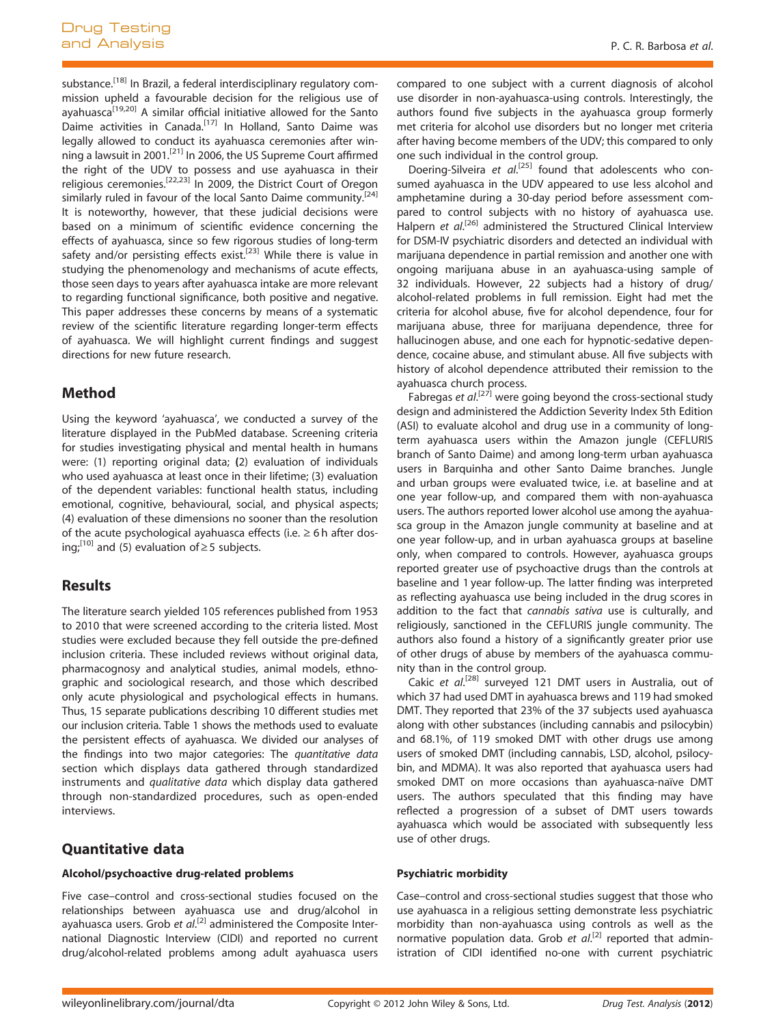substance.<sup>[18]</sup> In Brazil, a federal interdisciplinary regulatory commission upheld a favourable decision for the religious use of ayahuasca $^{[19,20]}$  A similar official initiative allowed for the Santo Daime activities in Canada.<sup>[17]</sup> In Holland, Santo Daime was legally allowed to conduct its ayahuasca ceremonies after winning a lawsuit in 2001.[21] In 2006, the US Supreme Court affirmed the right of the UDV to possess and use ayahuasca in their religious ceremonies.<sup>[22,23]</sup> In 2009, the District Court of Oregon similarly ruled in favour of the local Santo Daime community.<sup>[24]</sup> It is noteworthy, however, that these judicial decisions were based on a minimum of scientific evidence concerning the effects of ayahuasca, since so few rigorous studies of long-term safety and/or persisting effects exist.<sup>[23]</sup> While there is value in studying the phenomenology and mechanisms of acute effects, those seen days to years after ayahuasca intake are more relevant to regarding functional significance, both positive and negative. This paper addresses these concerns by means of a systematic review of the scientific literature regarding longer-term effects of ayahuasca. We will highlight current findings and suggest directions for new future research.

## Method

Using the keyword 'ayahuasca', we conducted a survey of the literature displayed in the PubMed database. Screening criteria for studies investigating physical and mental health in humans were: (1) reporting original data; (2) evaluation of individuals who used ayahuasca at least once in their lifetime; (3) evaluation of the dependent variables: functional health status, including emotional, cognitive, behavioural, social, and physical aspects; (4) evaluation of these dimensions no sooner than the resolution of the acute psychological ayahuasca effects (i.e.  $\geq 6$  h after dosing;<sup>[10]</sup> and (5) evaluation of  $\geq$  5 subjects.

## Results

The literature search yielded 105 references published from 1953 to 2010 that were screened according to the criteria listed. Most studies were excluded because they fell outside the pre-defined inclusion criteria. These included reviews without original data, pharmacognosy and analytical studies, animal models, ethnographic and sociological research, and those which described only acute physiological and psychological effects in humans. Thus, 15 separate publications describing 10 different studies met our inclusion criteria. Table 1 shows the methods used to evaluate the persistent effects of ayahuasca. We divided our analyses of the findings into two major categories: The quantitative data section which displays data gathered through standardized instruments and qualitative data which display data gathered through non-standardized procedures, such as open-ended interviews.

## Quantitative data

### Alcohol/psychoactive drug-related problems

Five case–control and cross-sectional studies focused on the relationships between ayahuasca use and drug/alcohol in ayahuasca users. Grob et al.<sup>[2]</sup> administered the Composite International Diagnostic Interview (CIDI) and reported no current drug/alcohol-related problems among adult ayahuasca users

compared to one subject with a current diagnosis of alcohol use disorder in non-ayahuasca-using controls. Interestingly, the authors found five subjects in the ayahuasca group formerly met criteria for alcohol use disorders but no longer met criteria after having become members of the UDV; this compared to only one such individual in the control group.

Doering-Silveira et al.<sup>[25]</sup> found that adolescents who consumed ayahuasca in the UDV appeared to use less alcohol and amphetamine during a 30-day period before assessment compared to control subjects with no history of ayahuasca use. Halpern et al.<sup>[26]</sup> administered the Structured Clinical Interview for DSM-IV psychiatric disorders and detected an individual with marijuana dependence in partial remission and another one with ongoing marijuana abuse in an ayahuasca-using sample of 32 individuals. However, 22 subjects had a history of drug/ alcohol-related problems in full remission. Eight had met the criteria for alcohol abuse, five for alcohol dependence, four for marijuana abuse, three for marijuana dependence, three for hallucinogen abuse, and one each for hypnotic-sedative dependence, cocaine abuse, and stimulant abuse. All five subjects with history of alcohol dependence attributed their remission to the ayahuasca church process.

Fabregas et al.<sup>[27]</sup> were going beyond the cross-sectional study design and administered the Addiction Severity Index 5th Edition (ASI) to evaluate alcohol and drug use in a community of longterm ayahuasca users within the Amazon jungle (CEFLURIS branch of Santo Daime) and among long-term urban ayahuasca users in Barquinha and other Santo Daime branches. Jungle and urban groups were evaluated twice, i.e. at baseline and at one year follow-up, and compared them with non-ayahuasca users. The authors reported lower alcohol use among the ayahuasca group in the Amazon jungle community at baseline and at one year follow-up, and in urban ayahuasca groups at baseline only, when compared to controls. However, ayahuasca groups reported greater use of psychoactive drugs than the controls at baseline and 1 year follow-up. The latter finding was interpreted as reflecting ayahuasca use being included in the drug scores in addition to the fact that cannabis sativa use is culturally, and religiously, sanctioned in the CEFLURIS jungle community. The authors also found a history of a significantly greater prior use of other drugs of abuse by members of the ayahuasca community than in the control group.

Cakic et al.<sup>[28]</sup> surveyed 121 DMT users in Australia, out of which 37 had used DMT in ayahuasca brews and 119 had smoked DMT. They reported that 23% of the 37 subjects used ayahuasca along with other substances (including cannabis and psilocybin) and 68.1%, of 119 smoked DMT with other drugs use among users of smoked DMT (including cannabis, LSD, alcohol, psilocybin, and MDMA). It was also reported that ayahuasca users had smoked DMT on more occasions than ayahuasca-naïve DMT users. The authors speculated that this finding may have reflected a progression of a subset of DMT users towards ayahuasca which would be associated with subsequently less use of other drugs.

#### Psychiatric morbidity

Case–control and cross-sectional studies suggest that those who use ayahuasca in a religious setting demonstrate less psychiatric morbidity than non-ayahuasca using controls as well as the normative population data. Grob et  $al^{[2]}$  reported that administration of CIDI identified no-one with current psychiatric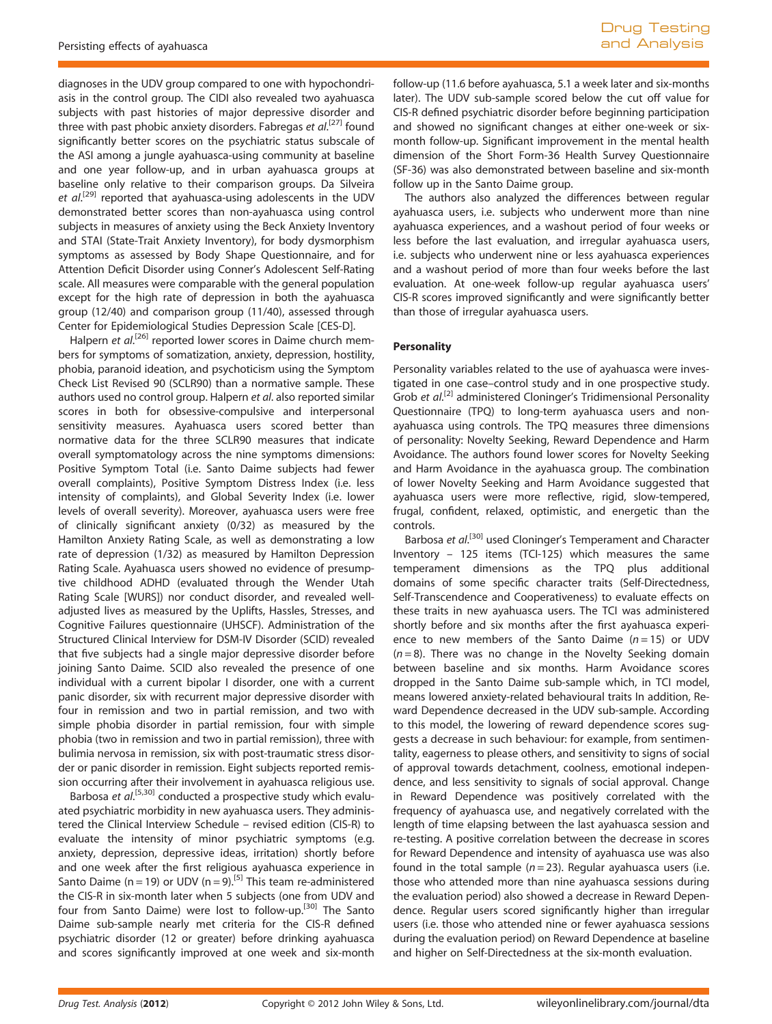diagnoses in the UDV group compared to one with hypochondriasis in the control group. The CIDI also revealed two ayahuasca subjects with past histories of major depressive disorder and three with past phobic anxiety disorders. Fabregas et al.<sup>[27]</sup> found significantly better scores on the psychiatric status subscale of the ASI among a jungle ayahuasca-using community at baseline and one year follow-up, and in urban ayahuasca groups at baseline only relative to their comparison groups. Da Silveira et al.<sup>[29]</sup> reported that ayahuasca-using adolescents in the UDV demonstrated better scores than non-ayahuasca using control subjects in measures of anxiety using the Beck Anxiety Inventory and STAI (State-Trait Anxiety Inventory), for body dysmorphism symptoms as assessed by Body Shape Questionnaire, and for Attention Deficit Disorder using Conner's Adolescent Self-Rating scale. All measures were comparable with the general population except for the high rate of depression in both the ayahuasca group (12/40) and comparison group (11/40), assessed through Center for Epidemiological Studies Depression Scale [CES-D].

Halpern et al.<sup>[26]</sup> reported lower scores in Daime church members for symptoms of somatization, anxiety, depression, hostility, phobia, paranoid ideation, and psychoticism using the Symptom Check List Revised 90 (SCLR90) than a normative sample. These authors used no control group. Halpern et al. also reported similar scores in both for obsessive-compulsive and interpersonal sensitivity measures. Ayahuasca users scored better than normative data for the three SCLR90 measures that indicate overall symptomatology across the nine symptoms dimensions: Positive Symptom Total (i.e. Santo Daime subjects had fewer overall complaints), Positive Symptom Distress Index (i.e. less intensity of complaints), and Global Severity Index (i.e. lower levels of overall severity). Moreover, ayahuasca users were free of clinically significant anxiety (0/32) as measured by the Hamilton Anxiety Rating Scale, as well as demonstrating a low rate of depression (1/32) as measured by Hamilton Depression Rating Scale. Ayahuasca users showed no evidence of presumptive childhood ADHD (evaluated through the Wender Utah Rating Scale [WURS]) nor conduct disorder, and revealed welladjusted lives as measured by the Uplifts, Hassles, Stresses, and Cognitive Failures questionnaire (UHSCF). Administration of the Structured Clinical Interview for DSM-IV Disorder (SCID) revealed that five subjects had a single major depressive disorder before joining Santo Daime. SCID also revealed the presence of one individual with a current bipolar I disorder, one with a current panic disorder, six with recurrent major depressive disorder with four in remission and two in partial remission, and two with simple phobia disorder in partial remission, four with simple phobia (two in remission and two in partial remission), three with bulimia nervosa in remission, six with post-traumatic stress disorder or panic disorder in remission. Eight subjects reported remission occurring after their involvement in ayahuasca religious use.

Barbosa et al.<sup>[5,30]</sup> conducted a prospective study which evaluated psychiatric morbidity in new ayahuasca users. They administered the Clinical Interview Schedule – revised edition (CIS-R) to evaluate the intensity of minor psychiatric symptoms (e.g. anxiety, depression, depressive ideas, irritation) shortly before and one week after the first religious ayahuasca experience in Santo Daime ( $n = 19$ ) or UDV ( $n = 9$ ).<sup>[5]</sup> This team re-administered the CIS-R in six-month later when 5 subjects (one from UDV and four from Santo Daime) were lost to follow-up.[30] The Santo Daime sub-sample nearly met criteria for the CIS-R defined psychiatric disorder (12 or greater) before drinking ayahuasca and scores significantly improved at one week and six-month follow-up (11.6 before ayahuasca, 5.1 a week later and six-months later). The UDV sub-sample scored below the cut off value for CIS-R defined psychiatric disorder before beginning participation and showed no significant changes at either one-week or sixmonth follow-up. Significant improvement in the mental health dimension of the Short Form-36 Health Survey Questionnaire (SF-36) was also demonstrated between baseline and six-month follow up in the Santo Daime group.

The authors also analyzed the differences between regular ayahuasca users, i.e. subjects who underwent more than nine ayahuasca experiences, and a washout period of four weeks or less before the last evaluation, and irregular ayahuasca users, i.e. subjects who underwent nine or less ayahuasca experiences and a washout period of more than four weeks before the last evaluation. At one-week follow-up regular ayahuasca users' CIS-R scores improved significantly and were significantly better than those of irregular ayahuasca users.

#### **Personality**

Personality variables related to the use of ayahuasca were investigated in one case–control study and in one prospective study. Grob et al.<sup>[2]</sup> administered Cloninger's Tridimensional Personality Questionnaire (TPQ) to long-term ayahuasca users and nonayahuasca using controls. The TPQ measures three dimensions of personality: Novelty Seeking, Reward Dependence and Harm Avoidance. The authors found lower scores for Novelty Seeking and Harm Avoidance in the ayahuasca group. The combination of lower Novelty Seeking and Harm Avoidance suggested that ayahuasca users were more reflective, rigid, slow-tempered, frugal, confident, relaxed, optimistic, and energetic than the controls.

Barbosa et al.<sup>[30]</sup> used Cloninger's Temperament and Character Inventory – 125 items (TCI-125) which measures the same temperament dimensions as the TPQ plus additional domains of some specific character traits (Self-Directedness, Self-Transcendence and Cooperativeness) to evaluate effects on these traits in new ayahuasca users. The TCI was administered shortly before and six months after the first ayahuasca experience to new members of the Santo Daime  $(n = 15)$  or UDV  $(n=8)$ . There was no change in the Novelty Seeking domain between baseline and six months. Harm Avoidance scores dropped in the Santo Daime sub-sample which, in TCI model, means lowered anxiety-related behavioural traits In addition, Reward Dependence decreased in the UDV sub-sample. According to this model, the lowering of reward dependence scores suggests a decrease in such behaviour: for example, from sentimentality, eagerness to please others, and sensitivity to signs of social of approval towards detachment, coolness, emotional independence, and less sensitivity to signals of social approval. Change in Reward Dependence was positively correlated with the frequency of ayahuasca use, and negatively correlated with the length of time elapsing between the last ayahuasca session and re-testing. A positive correlation between the decrease in scores for Reward Dependence and intensity of ayahuasca use was also found in the total sample ( $n = 23$ ). Regular ayahuasca users (i.e. those who attended more than nine ayahuasca sessions during the evaluation period) also showed a decrease in Reward Dependence. Regular users scored significantly higher than irregular users (i.e. those who attended nine or fewer ayahuasca sessions during the evaluation period) on Reward Dependence at baseline and higher on Self-Directedness at the six-month evaluation.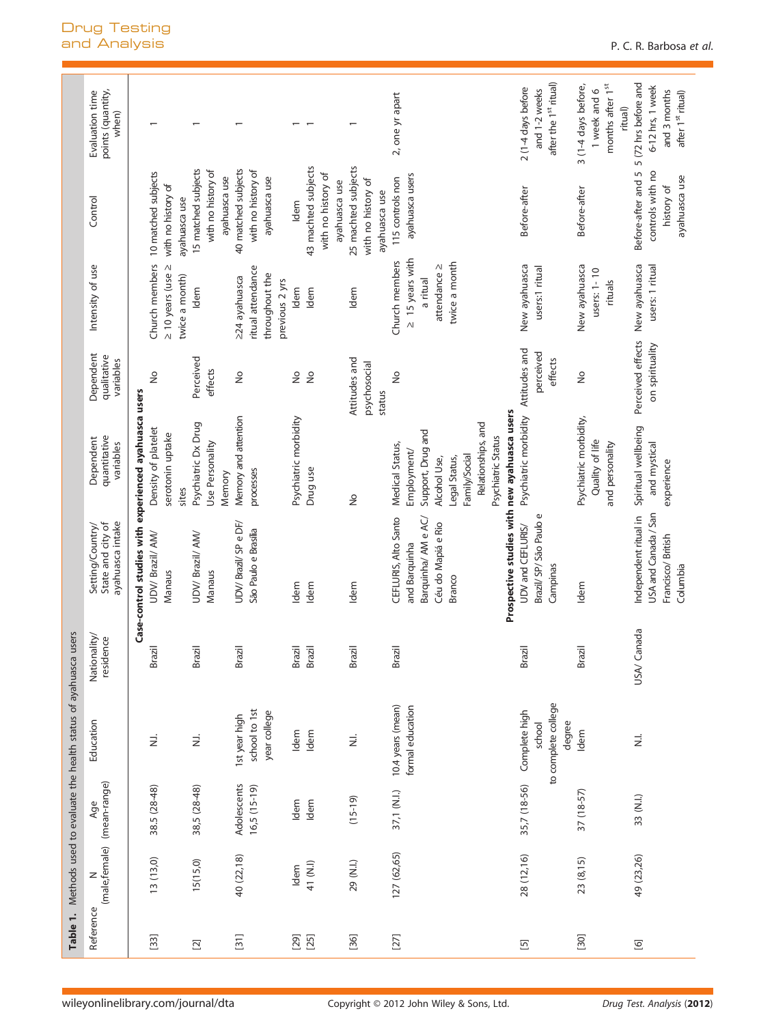|                  |                                 |                              | Table 1. Methods used to evaluate the health status of ayahuasca users |                           |                                                                                                          |                                                                                                                                                   |                                         |                                                                                     |                                                                       |                                                                                           |
|------------------|---------------------------------|------------------------------|------------------------------------------------------------------------|---------------------------|----------------------------------------------------------------------------------------------------------|---------------------------------------------------------------------------------------------------------------------------------------------------|-----------------------------------------|-------------------------------------------------------------------------------------|-----------------------------------------------------------------------|-------------------------------------------------------------------------------------------|
| Reference        | (male,female) (mean-range)<br>Z | Age                          | Education                                                              | Nationality/<br>residence | ayahuasca intake<br>State and city of<br>Setting/Country/                                                | quantitative<br>Dependent<br>variables                                                                                                            | Dependent<br>qualitative<br>variables   | Intensity of use                                                                    | Control                                                               | points (quantity,<br>Evaluation time<br>when)                                             |
| $[33]$           | 13(13,0)                        | 38.5 (28-48)                 | $\overline{\overline{z}}$                                              | Brazil                    | Case-control studies with experienced ayahuasca users<br>UDV/Brazil/AM/<br>Manaus                        | Density of platelet<br>serotonin uptake<br>sites                                                                                                  | $\frac{1}{2}$                           | Church members<br>$\geq$ 10 years (use $\geq$<br>twice a month)                     | 10 matched subjects<br>with no history of<br>ayahuasca use            |                                                                                           |
|                  | 15(15,0)                        | 38,5 (28-48)                 | $\equiv$                                                               | ijze<br>ᅌ                 | UDV/Brazil/AM/<br>Manaus                                                                                 | Psychiatric Dx Drug<br>Use Personality<br>Memory                                                                                                  | Perceived<br>effects                    | Idem                                                                                | 15 matched subjects<br>with no history of<br>ayahuasca use            |                                                                                           |
| $[31]$           | 40 (22,18)                      | Adolescents<br>$16,5(15-19)$ | school to 1st<br>year college<br>1st year high                         | Brazil                    | UDV/Brazil/SPeDF/<br>São Paulo e Brasília                                                                | Memory and attention<br>processes                                                                                                                 | $\frac{1}{2}$                           | ritual attendance<br>throughout the<br>224 ayahuasca<br>previous 2 yrs              | 40 matched subjects<br>with no history of<br>ayahuasca use            |                                                                                           |
| $[29]$<br>$[25]$ | 41 (N.I)<br>Idem                | Idem<br>Idem                 | Idem<br>Idem                                                           | Brazil<br>Brazil          | Idem<br>Idem                                                                                             | Psychiatric morbidity<br>Drug use                                                                                                                 | $\frac{1}{2}$<br>å                      | Idem<br>Idem                                                                        | 43 machted subjects<br>with no history of<br>ayahuasca use<br>Idem    |                                                                                           |
| $[36]$           | 29 (N.I.)                       | $(15-19)$                    | $\vec{z}$                                                              | ilze<br>ᅌ                 | Idem                                                                                                     | ş                                                                                                                                                 | Attitudes and<br>psychosocial<br>status | Idem                                                                                | 25 machted subjects<br>with no history of<br>ayahuasca use            |                                                                                           |
| $[27]$           | 127 (62,65)                     | 37,1 (N.l.)                  | 10.4 years (mean)<br>formal education                                  | Brazil                    | CEFLURIS, Alto Santo<br>Barquinha/ AM e AC/<br>Céu do Mapiá e Rio<br>and Barquinha<br>Branco             | Relationships, and<br>Support, Drug and<br>Psychiatric Status<br>Medical Status,<br>Employment/<br>Family/Social<br>Alcohol Use,<br>Legal Status, | $\frac{1}{2}$                           | $\geq 15$ years with<br>Church members<br>twice a month<br>attendance 2<br>a ritual | ayahuasca users<br>115 controls non                                   | 2, one yr apart                                                                           |
| $\boxed{5}$      | 28 (12,16)                      | 35,7 (18-56)                 | to complete college<br>Complete high<br>degree<br>school               | ilze<br>이                 | Prospective studies with new ayahuasca users<br>Brazil/ SP/ São Paulo e<br>UDV and CEFLURIS/<br>Campinas | Psychiatric morbidity                                                                                                                             | Attitudes and<br>perceived<br>effects   | New ayahuasca<br>users:1 ritual                                                     | Before-after                                                          | after the 1 <sup>st</sup> ritual)<br>2 (1-4 days before<br>and 1-2 weeks                  |
| $[30]$           | 23 (8,15)                       | 37 (18-57)                   | Idem                                                                   | Brazil                    | Idem                                                                                                     | Psychiatric morbidity,<br>Quality of life<br>and personality                                                                                      | å                                       | New ayahuasca<br>users: $1 - 10$<br>rituals                                         | Before-after                                                          | months after 1 <sup>st</sup><br>3 (1-4 days before,<br>1 week and 6<br>ritual)            |
| $\overline{6}$   | 49 (23,26)                      | 33 (N.I.)                    | $\overline{\overline{z}}$                                              | Canada<br>USA/            | USA and Canada / San<br>Independent ritual in<br>Francisco/ British<br>Columbia                          | Spiritual wellbeing<br>and mystical<br>experience                                                                                                 | Perceived effects<br>on spirituality    | New ayahuasca<br>users: 1 ritual                                                    | Before-after and 5<br>controls with no<br>ayahuasca use<br>history of | 5 (72 hrs before and<br>6-12 hrs, 1 week<br>and 3 months<br>after 1 <sup>st</sup> ritual) |

## Drug Testing and Analysis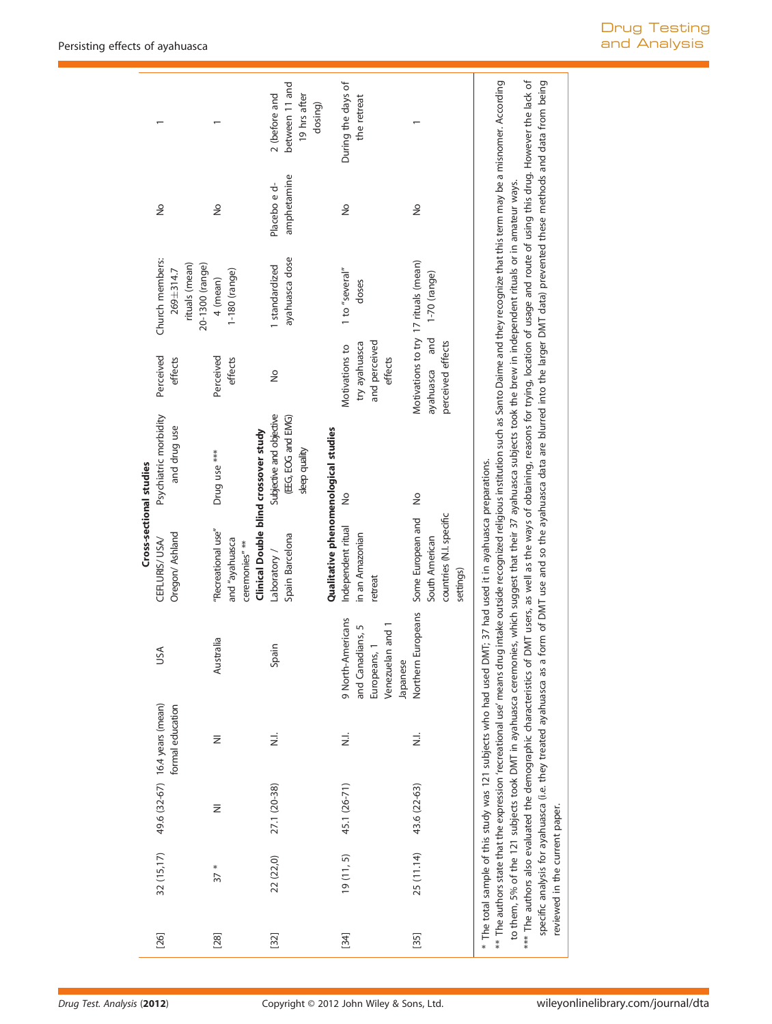|        |                                |              |                                                                     |                                                                                       | Cross-sectional studies                                                                                       |                                                                                                                                                                                                                                                                                                                                                                                                                                                                                                                                                                                                                                                                                                                                |                                                                               |                                                                   |                             |                                                            |
|--------|--------------------------------|--------------|---------------------------------------------------------------------|---------------------------------------------------------------------------------------|---------------------------------------------------------------------------------------------------------------|--------------------------------------------------------------------------------------------------------------------------------------------------------------------------------------------------------------------------------------------------------------------------------------------------------------------------------------------------------------------------------------------------------------------------------------------------------------------------------------------------------------------------------------------------------------------------------------------------------------------------------------------------------------------------------------------------------------------------------|-------------------------------------------------------------------------------|-------------------------------------------------------------------|-----------------------------|------------------------------------------------------------|
| $[26]$ | 32(15,17)                      |              | 49.6 (32-67) 16.4 years (mean)<br>formal education                  | USA                                                                                   | Oregon/ Ashland<br>CEFLURIS/ USA/                                                                             | Psychiatric morbidity<br>and drug use                                                                                                                                                                                                                                                                                                                                                                                                                                                                                                                                                                                                                                                                                          | Perceived<br>effects                                                          | Church members:<br>rituals (mean)<br>20-1300 (range)<br>269±314.7 | $\frac{1}{2}$               |                                                            |
| $[28]$ | $37*$                          | Ξ            | $\bar{z}$                                                           | Australia                                                                             | Clinical Double blind crossover study<br>"Recreational use"<br>and "ayahuasca<br>ceremonies" **               | Drug use ***                                                                                                                                                                                                                                                                                                                                                                                                                                                                                                                                                                                                                                                                                                                   | Perceived<br>effects                                                          | 1-180 (range)<br>4 (mean)                                         | $\frac{1}{2}$               |                                                            |
| $[32]$ | 22 (22,0)                      | 27.1 (20-38) | $\overline{z}$                                                      | Spain                                                                                 | Qualitative phenomenological studies<br>Spain Barcelona<br>Laboratory /                                       | Subjective and objective<br>(EEG, EOG and EMG)<br>sleep quality                                                                                                                                                                                                                                                                                                                                                                                                                                                                                                                                                                                                                                                                | $\frac{1}{2}$                                                                 | ayahuasca dose<br>I standardized                                  | amphetamine<br>Placebo e d- | between 11 and<br>19 hrs after<br>2 (before and<br>dosing) |
| $[34]$ | 19(11, 5)                      | 45.1 (26-71) | $\overline{z}$                                                      | 9 North-Americans<br>Venezuelan and 1<br>and Canadians, 5<br>Europeans, 1<br>Japanese | Independent ritual<br>in an Amazonian<br>retreat                                                              | ž                                                                                                                                                                                                                                                                                                                                                                                                                                                                                                                                                                                                                                                                                                                              | and perceived<br>try ayahuasca<br>Motivations to<br>effects                   | 1 to "several"<br>doses                                           | $\frac{1}{2}$               | During the days of<br>the retreat                          |
| [35]   | 25 (11.14)                     | 43.6 (22-63) | $\overline{z}$                                                      | Northern Europeans                                                                    | countries (N.I. specific<br>Some European and<br>South American<br>settings)                                  | $\frac{1}{2}$                                                                                                                                                                                                                                                                                                                                                                                                                                                                                                                                                                                                                                                                                                                  | Motivations to try 17 rituals (mean)<br>and<br>perceived effects<br>ayahuasca | $1-70$ (range)                                                    | $\frac{1}{2}$               |                                                            |
|        | reviewed in the current paper. |              | specific analysis for ayahuasca (i.e. they treated ayahuasca as a f |                                                                                       | * The total sample of this study was 121 subjects who had used DMT; 37 had used it in ayahuasca preparations. | ** The authors state that the expression 'recreational use' means drug intake outside recognized religious institution such as Santo Daime and they recognize that this term may be a misnomer. According<br>*** The authors also evaluated the demographic characteristics of DMT users, as well as the ways of obtaining, reasons for trying, location of usage and route of using this drug. However the lack of<br>orm of DMT use and so the ayahuasca data are blurred into the larger DMT data) prevented these methods and data from being<br>to them, 5% of the 121 subjects took DMT in ayahuasca ceremonies, which suggest that their 37 ayahuasca subjects took the brew in independent rituals or in amateur ways. |                                                                               |                                                                   |                             |                                                            |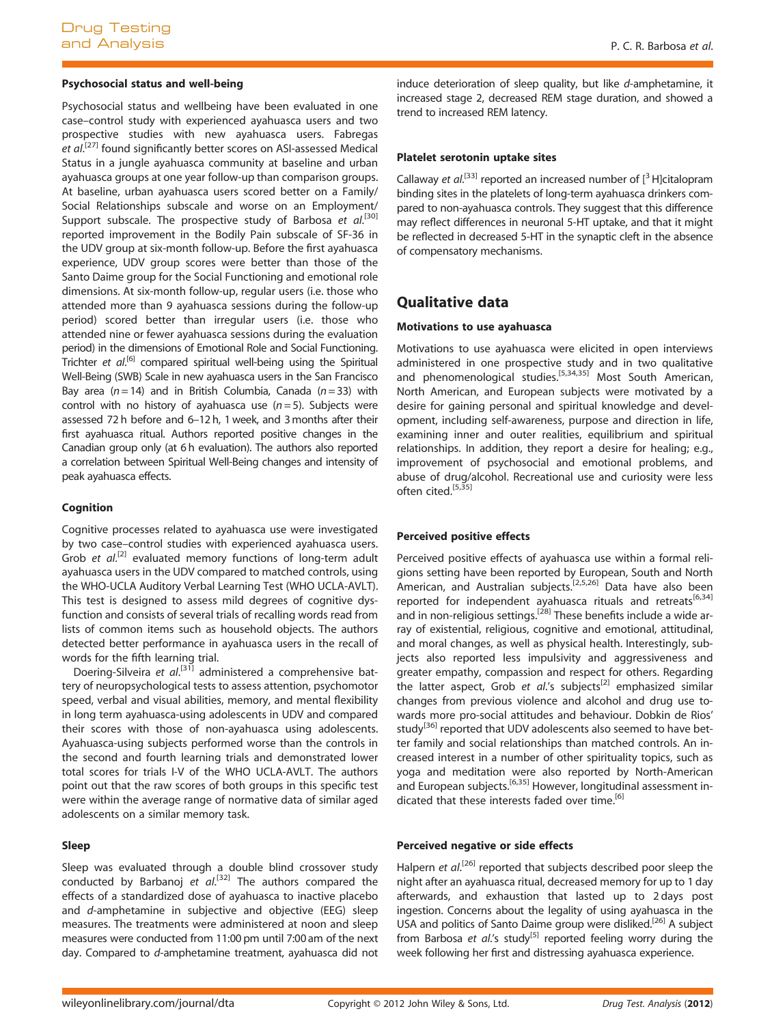#### Psychosocial status and well-being

Psychosocial status and wellbeing have been evaluated in one case–control study with experienced ayahuasca users and two prospective studies with new ayahuasca users. Fabregas et al.<sup>[27]</sup> found significantly better scores on ASI-assessed Medical Status in a jungle ayahuasca community at baseline and urban ayahuasca groups at one year follow-up than comparison groups. At baseline, urban ayahuasca users scored better on a Family/ Social Relationships subscale and worse on an Employment/ Support subscale. The prospective study of Barbosa et al.<sup>[30]</sup> reported improvement in the Bodily Pain subscale of SF-36 in the UDV group at six-month follow-up. Before the first ayahuasca experience, UDV group scores were better than those of the Santo Daime group for the Social Functioning and emotional role dimensions. At six-month follow-up, regular users (i.e. those who attended more than 9 ayahuasca sessions during the follow-up period) scored better than irregular users (i.e. those who attended nine or fewer ayahuasca sessions during the evaluation period) in the dimensions of Emotional Role and Social Functioning. Trichter et al.<sup>[6]</sup> compared spiritual well-being using the Spiritual Well-Being (SWB) Scale in new ayahuasca users in the San Francisco Bay area ( $n = 14$ ) and in British Columbia, Canada ( $n = 33$ ) with control with no history of ayahuasca use  $(n=5)$ . Subjects were assessed 72 h before and 6–12 h, 1 week, and 3months after their first ayahuasca ritual. Authors reported positive changes in the Canadian group only (at 6 h evaluation). The authors also reported a correlation between Spiritual Well-Being changes and intensity of peak ayahuasca effects.

#### Cognition

Cognitive processes related to ayahuasca use were investigated by two case–control studies with experienced ayahuasca users. Grob et al.<sup>[2]</sup> evaluated memory functions of long-term adult ayahuasca users in the UDV compared to matched controls, using the WHO-UCLA Auditory Verbal Learning Test (WHO UCLA-AVLT). This test is designed to assess mild degrees of cognitive dysfunction and consists of several trials of recalling words read from lists of common items such as household objects. The authors detected better performance in ayahuasca users in the recall of words for the fifth learning trial.

Doering-Silveira et al.<sup>[31]</sup> administered a comprehensive battery of neuropsychological tests to assess attention, psychomotor speed, verbal and visual abilities, memory, and mental flexibility in long term ayahuasca-using adolescents in UDV and compared their scores with those of non-ayahuasca using adolescents. Ayahuasca-using subjects performed worse than the controls in the second and fourth learning trials and demonstrated lower total scores for trials I-V of the WHO UCLA-AVLT. The authors point out that the raw scores of both groups in this specific test were within the average range of normative data of similar aged adolescents on a similar memory task.

#### Sleep

Sleep was evaluated through a double blind crossover study conducted by Barbanoj et  $al^{[32]}$  The authors compared the effects of a standardized dose of ayahuasca to inactive placebo and *d*-amphetamine in subjective and objective (EEG) sleep measures. The treatments were administered at noon and sleep measures were conducted from 11:00 pm until 7:00 am of the next day. Compared to d-amphetamine treatment, ayahuasca did not induce deterioration of sleep quality, but like d-amphetamine, it increased stage 2, decreased REM stage duration, and showed a trend to increased REM latency.

#### Platelet serotonin uptake sites

Callaway et  $al$ <sup>[33]</sup> reported an increased number of  $[3]$  H]citalopram binding sites in the platelets of long-term ayahuasca drinkers compared to non-ayahuasca controls. They suggest that this difference may reflect differences in neuronal 5-HT uptake, and that it might be reflected in decreased 5-HT in the synaptic cleft in the absence of compensatory mechanisms.

## Qualitative data

#### Motivations to use ayahuasca

Motivations to use ayahuasca were elicited in open interviews administered in one prospective study and in two qualitative and phenomenological studies.<sup>[5,34,35]</sup> Most South American, North American, and European subjects were motivated by a desire for gaining personal and spiritual knowledge and development, including self-awareness, purpose and direction in life, examining inner and outer realities, equilibrium and spiritual relationships. In addition, they report a desire for healing; e.g., improvement of psychosocial and emotional problems, and abuse of drug/alcohol. Recreational use and curiosity were less often cited.<sup>[5,35]</sup>

#### Perceived positive effects

Perceived positive effects of ayahuasca use within a formal religions setting have been reported by European, South and North American, and Australian subjects.<sup>[2,5,26]</sup> Data have also been reported for independent ayahuasca rituals and retreats $[6,34]$ and in non-religious settings.<sup>[28]</sup> These benefits include a wide array of existential, religious, cognitive and emotional, attitudinal, and moral changes, as well as physical health. Interestingly, subjects also reported less impulsivity and aggressiveness and greater empathy, compassion and respect for others. Regarding the latter aspect, Grob et  $al$ 's subjects<sup>[2]</sup> emphasized similar changes from previous violence and alcohol and drug use towards more pro-social attitudes and behaviour. Dobkin de Rios' study<sup>[36]</sup> reported that UDV adolescents also seemed to have better family and social relationships than matched controls. An increased interest in a number of other spirituality topics, such as yoga and meditation were also reported by North-American and European subjects.<sup>[6,35]</sup> However, longitudinal assessment indicated that these interests faded over time.<sup>[6]</sup>

#### Perceived negative or side effects

Halpern et al.<sup>[26]</sup> reported that subjects described poor sleep the night after an ayahuasca ritual, decreased memory for up to 1 day afterwards, and exhaustion that lasted up to 2 days post ingestion. Concerns about the legality of using ayahuasca in the USA and politics of Santo Daime group were disliked.<sup>[26]</sup> A subject from Barbosa et al.'s study<sup>[5]</sup> reported feeling worry during the week following her first and distressing ayahuasca experience.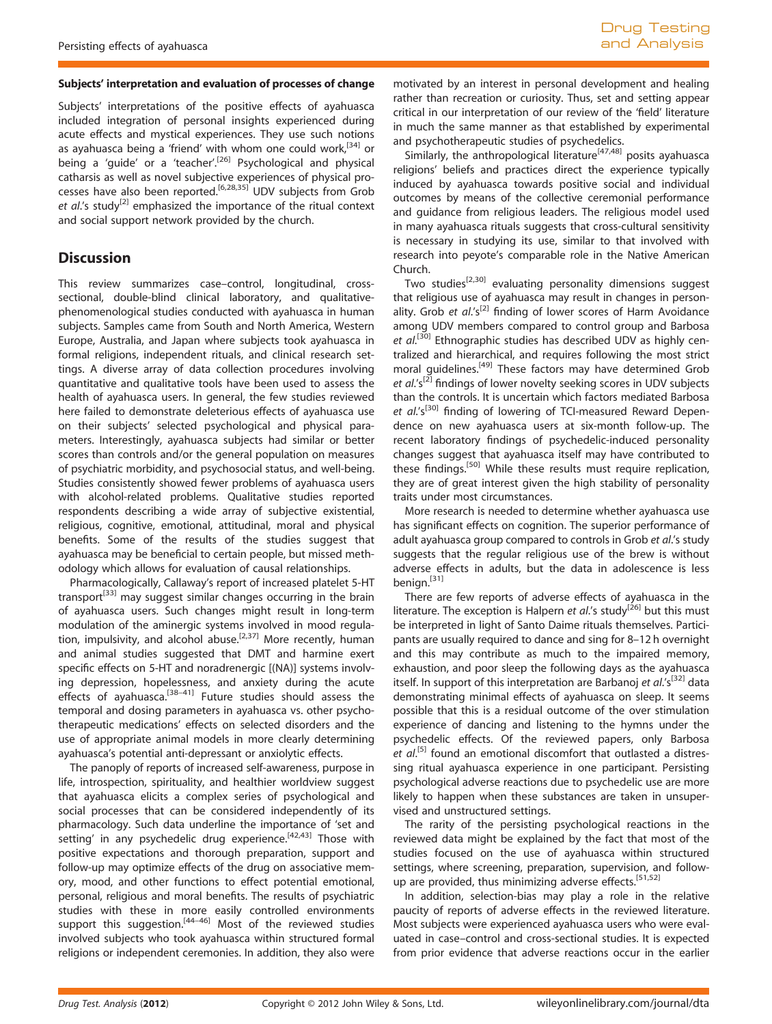#### Subjects' interpretation and evaluation of processes of change

Subjects' interpretations of the positive effects of ayahuasca included integration of personal insights experienced during acute effects and mystical experiences. They use such notions as ayahuasca being a 'friend' with whom one could work,<sup>[34]</sup> or being a 'guide' or a 'teacher'.<sup>[26]</sup> Psychological and physical catharsis as well as novel subjective experiences of physical processes have also been reported.<sup>[6,28,35]</sup> UDV subjects from Grob et  $al$ 's study<sup>[2]</sup> emphasized the importance of the ritual context and social support network provided by the church.

## **Discussion**

This review summarizes case–control, longitudinal, crosssectional, double-blind clinical laboratory, and qualitativephenomenological studies conducted with ayahuasca in human subjects. Samples came from South and North America, Western Europe, Australia, and Japan where subjects took ayahuasca in formal religions, independent rituals, and clinical research settings. A diverse array of data collection procedures involving quantitative and qualitative tools have been used to assess the health of ayahuasca users. In general, the few studies reviewed here failed to demonstrate deleterious effects of ayahuasca use on their subjects' selected psychological and physical parameters. Interestingly, ayahuasca subjects had similar or better scores than controls and/or the general population on measures of psychiatric morbidity, and psychosocial status, and well-being. Studies consistently showed fewer problems of ayahuasca users with alcohol-related problems. Qualitative studies reported respondents describing a wide array of subjective existential, religious, cognitive, emotional, attitudinal, moral and physical benefits. Some of the results of the studies suggest that ayahuasca may be beneficial to certain people, but missed methodology which allows for evaluation of causal relationships.

Pharmacologically, Callaway's report of increased platelet 5-HT  $transport<sup>[33]</sup>$  may suggest similar changes occurring in the brain of ayahuasca users. Such changes might result in long-term modulation of the aminergic systems involved in mood regulation, impulsivity, and alcohol abuse.<sup>[2,37]</sup> More recently, human and animal studies suggested that DMT and harmine exert specific effects on 5-HT and noradrenergic [(NA)] systems involving depression, hopelessness, and anxiety during the acute effects of ayahuasca.<sup>[38-41]</sup> Future studies should assess the temporal and dosing parameters in ayahuasca vs. other psychotherapeutic medications' effects on selected disorders and the use of appropriate animal models in more clearly determining ayahuasca's potential anti-depressant or anxiolytic effects.

The panoply of reports of increased self-awareness, purpose in life, introspection, spirituality, and healthier worldview suggest that ayahuasca elicits a complex series of psychological and social processes that can be considered independently of its pharmacology. Such data underline the importance of 'set and setting' in any psychedelic drug experience.<sup>[42,43]</sup> Those with positive expectations and thorough preparation, support and follow-up may optimize effects of the drug on associative memory, mood, and other functions to effect potential emotional, personal, religious and moral benefits. The results of psychiatric studies with these in more easily controlled environments support this suggestion.<sup>[44-46]</sup> Most of the reviewed studies involved subjects who took ayahuasca within structured formal religions or independent ceremonies. In addition, they also were

motivated by an interest in personal development and healing rather than recreation or curiosity. Thus, set and setting appear critical in our interpretation of our review of the 'field' literature in much the same manner as that established by experimental and psychotherapeutic studies of psychedelics.

Similarly, the anthropological literature<sup>[47,48]</sup> posits ayahuasca religions' beliefs and practices direct the experience typically induced by ayahuasca towards positive social and individual outcomes by means of the collective ceremonial performance and guidance from religious leaders. The religious model used in many ayahuasca rituals suggests that cross-cultural sensitivity is necessary in studying its use, similar to that involved with research into peyote's comparable role in the Native American Church.

Two studies<sup>[2,30]</sup> evaluating personality dimensions suggest that religious use of ayahuasca may result in changes in personality. Grob et al.'s<sup>[2]</sup> finding of lower scores of Harm Avoidance among UDV members compared to control group and Barbosa et al.<sup>[30]</sup> Ethnographic studies has described UDV as highly centralized and hierarchical, and requires following the most strict moral quidelines.<sup>[49]</sup> These factors may have determined Grob et al.'s<sup>[2]</sup> findings of lower novelty seeking scores in UDV subjects than the controls. It is uncertain which factors mediated Barbosa et al.'s<sup>[30]</sup> finding of lowering of TCI-measured Reward Dependence on new ayahuasca users at six-month follow-up. The recent laboratory findings of psychedelic-induced personality changes suggest that ayahuasca itself may have contributed to these findings.[50] While these results must require replication, they are of great interest given the high stability of personality traits under most circumstances.

More research is needed to determine whether ayahuasca use has significant effects on cognition. The superior performance of adult ayahuasca group compared to controls in Grob et al.'s study suggests that the regular religious use of the brew is without adverse effects in adults, but the data in adolescence is less benign.<sup>[31]</sup>

There are few reports of adverse effects of ayahuasca in the literature. The exception is Halpern et  $al$ 's study<sup>[26]</sup> but this must be interpreted in light of Santo Daime rituals themselves. Participants are usually required to dance and sing for 8–12 h overnight and this may contribute as much to the impaired memory, exhaustion, and poor sleep the following days as the ayahuasca itself. In support of this interpretation are Barbanoj et al.'s<sup>[32]</sup> data demonstrating minimal effects of ayahuasca on sleep. It seems possible that this is a residual outcome of the over stimulation experience of dancing and listening to the hymns under the psychedelic effects. Of the reviewed papers, only Barbosa et al.<sup>[5]</sup> found an emotional discomfort that outlasted a distressing ritual ayahuasca experience in one participant. Persisting psychological adverse reactions due to psychedelic use are more likely to happen when these substances are taken in unsupervised and unstructured settings.

The rarity of the persisting psychological reactions in the reviewed data might be explained by the fact that most of the studies focused on the use of ayahuasca within structured settings, where screening, preparation, supervision, and followup are provided, thus minimizing adverse effects.<sup>[51,52]</sup>

In addition, selection-bias may play a role in the relative paucity of reports of adverse effects in the reviewed literature. Most subjects were experienced ayahuasca users who were evaluated in case–control and cross-sectional studies. It is expected from prior evidence that adverse reactions occur in the earlier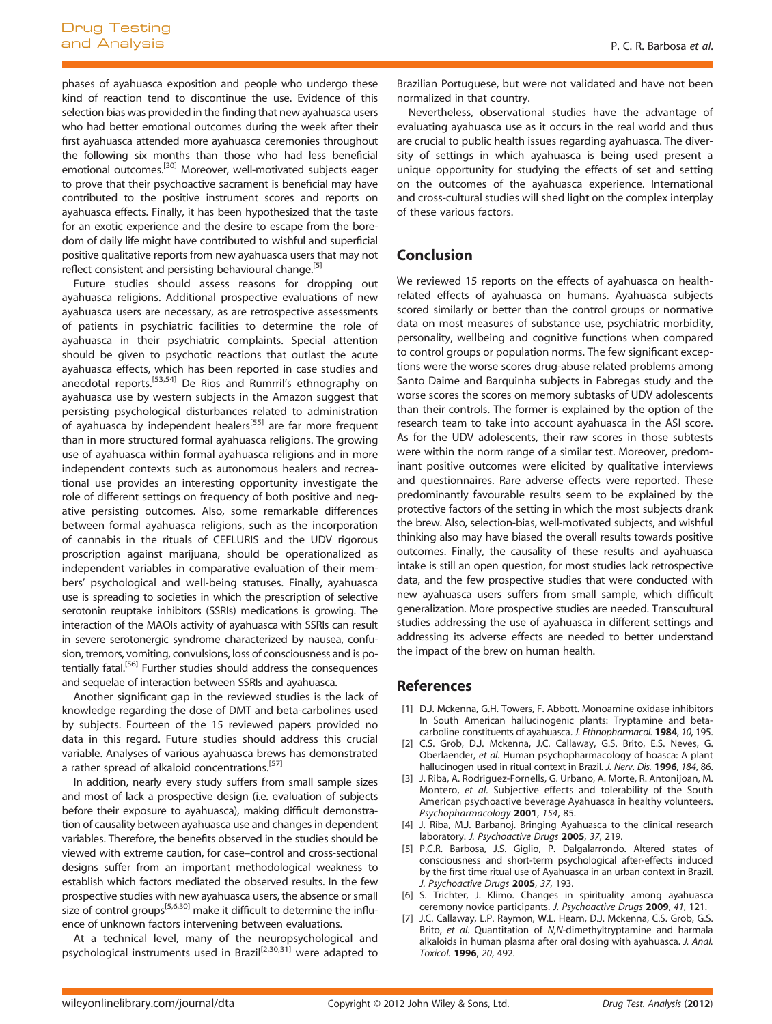phases of ayahuasca exposition and people who undergo these kind of reaction tend to discontinue the use. Evidence of this selection bias was provided in the finding that new ayahuasca users who had better emotional outcomes during the week after their first ayahuasca attended more ayahuasca ceremonies throughout the following six months than those who had less beneficial emotional outcomes.<sup>[30]</sup> Moreover, well-motivated subjects eager to prove that their psychoactive sacrament is beneficial may have contributed to the positive instrument scores and reports on ayahuasca effects. Finally, it has been hypothesized that the taste for an exotic experience and the desire to escape from the boredom of daily life might have contributed to wishful and superficial positive qualitative reports from new ayahuasca users that may not reflect consistent and persisting behavioural change.<sup>[5]</sup>

Future studies should assess reasons for dropping out ayahuasca religions. Additional prospective evaluations of new ayahuasca users are necessary, as are retrospective assessments of patients in psychiatric facilities to determine the role of ayahuasca in their psychiatric complaints. Special attention should be given to psychotic reactions that outlast the acute ayahuasca effects, which has been reported in case studies and anecdotal reports.[53,54] De Rios and Rumrril's ethnography on ayahuasca use by western subjects in the Amazon suggest that persisting psychological disturbances related to administration of ayahuasca by independent healers<sup>[55]</sup> are far more frequent than in more structured formal ayahuasca religions. The growing use of ayahuasca within formal ayahuasca religions and in more independent contexts such as autonomous healers and recreational use provides an interesting opportunity investigate the role of different settings on frequency of both positive and negative persisting outcomes. Also, some remarkable differences between formal ayahuasca religions, such as the incorporation of cannabis in the rituals of CEFLURIS and the UDV rigorous proscription against marijuana, should be operationalized as independent variables in comparative evaluation of their members' psychological and well-being statuses. Finally, ayahuasca use is spreading to societies in which the prescription of selective serotonin reuptake inhibitors (SSRIs) medications is growing. The interaction of the MAOIs activity of ayahuasca with SSRIs can result in severe serotonergic syndrome characterized by nausea, confusion, tremors, vomiting, convulsions, loss of consciousness and is potentially fatal.[56] Further studies should address the consequences and sequelae of interaction between SSRIs and ayahuasca.

Another significant gap in the reviewed studies is the lack of knowledge regarding the dose of DMT and beta-carbolines used by subjects. Fourteen of the 15 reviewed papers provided no data in this regard. Future studies should address this crucial variable. Analyses of various ayahuasca brews has demonstrated a rather spread of alkaloid concentrations.<sup>[57]</sup>

In addition, nearly every study suffers from small sample sizes and most of lack a prospective design (i.e. evaluation of subjects before their exposure to ayahuasca), making difficult demonstration of causality between ayahuasca use and changes in dependent variables. Therefore, the benefits observed in the studies should be viewed with extreme caution, for case–control and cross-sectional designs suffer from an important methodological weakness to establish which factors mediated the observed results. In the few prospective studies with new ayahuasca users, the absence or small size of control groups<sup>[5,6,30]</sup> make it difficult to determine the influence of unknown factors intervening between evaluations.

At a technical level, many of the neuropsychological and psychological instruments used in Brazil<sup>[2,30,31]</sup> were adapted to

Brazilian Portuguese, but were not validated and have not been normalized in that country.

Nevertheless, observational studies have the advantage of evaluating ayahuasca use as it occurs in the real world and thus are crucial to public health issues regarding ayahuasca. The diversity of settings in which ayahuasca is being used present a unique opportunity for studying the effects of set and setting on the outcomes of the ayahuasca experience. International and cross-cultural studies will shed light on the complex interplay of these various factors.

## Conclusion

We reviewed 15 reports on the effects of ayahuasca on healthrelated effects of ayahuasca on humans. Ayahuasca subjects scored similarly or better than the control groups or normative data on most measures of substance use, psychiatric morbidity, personality, wellbeing and cognitive functions when compared to control groups or population norms. The few significant exceptions were the worse scores drug-abuse related problems among Santo Daime and Barquinha subjects in Fabregas study and the worse scores the scores on memory subtasks of UDV adolescents than their controls. The former is explained by the option of the research team to take into account ayahuasca in the ASI score. As for the UDV adolescents, their raw scores in those subtests were within the norm range of a similar test. Moreover, predominant positive outcomes were elicited by qualitative interviews and questionnaires. Rare adverse effects were reported. These predominantly favourable results seem to be explained by the protective factors of the setting in which the most subjects drank the brew. Also, selection-bias, well-motivated subjects, and wishful thinking also may have biased the overall results towards positive outcomes. Finally, the causality of these results and ayahuasca intake is still an open question, for most studies lack retrospective data, and the few prospective studies that were conducted with new ayahuasca users suffers from small sample, which difficult generalization. More prospective studies are needed. Transcultural studies addressing the use of ayahuasca in different settings and addressing its adverse effects are needed to better understand the impact of the brew on human health.

## References

- [1] D.J. Mckenna, G.H. Towers, F. Abbott. Monoamine oxidase inhibitors In South American hallucinogenic plants: Tryptamine and betacarboline constituents of ayahuasca. J. Ethnopharmacol. 1984, 10, 195.
- [2] C.S. Grob, D.J. Mckenna, J.C. Callaway, G.S. Brito, E.S. Neves, G. Oberlaender, et al. Human psychopharmacology of hoasca: A plant hallucinogen used in ritual context in Brazil. J. Nerv. Dis. 1996, 184, 86.
- [3] J. Riba, A. Rodriguez-Fornells, G. Urbano, A. Morte, R. Antonijoan, M. Montero, et al. Subjective effects and tolerability of the South American psychoactive beverage Ayahuasca in healthy volunteers. Psychopharmacology 2001, 154, 85.
- [4] J. Riba, M.J. Barbanoj. Bringing Ayahuasca to the clinical research laboratory. J. Psychoactive Drugs 2005, 37, 219.
- [5] P.C.R. Barbosa, J.S. Giglio, P. Dalgalarrondo. Altered states of consciousness and short-term psychological after-effects induced by the first time ritual use of Ayahuasca in an urban context in Brazil. J. Psychoactive Drugs 2005, 37, 193.
- [6] S. Trichter, J. Klimo. Changes in spirituality among ayahuasca ceremony novice participants. J. Psychoactive Drugs 2009, 41, 121.
- [7] J.C. Callaway, L.P. Raymon, W.L. Hearn, D.J. Mckenna, C.S. Grob, G.S. Brito, et al. Quantitation of N,N-dimethyltryptamine and harmala alkaloids in human plasma after oral dosing with ayahuasca. J. Anal. Toxicol. 1996, 20, 492.